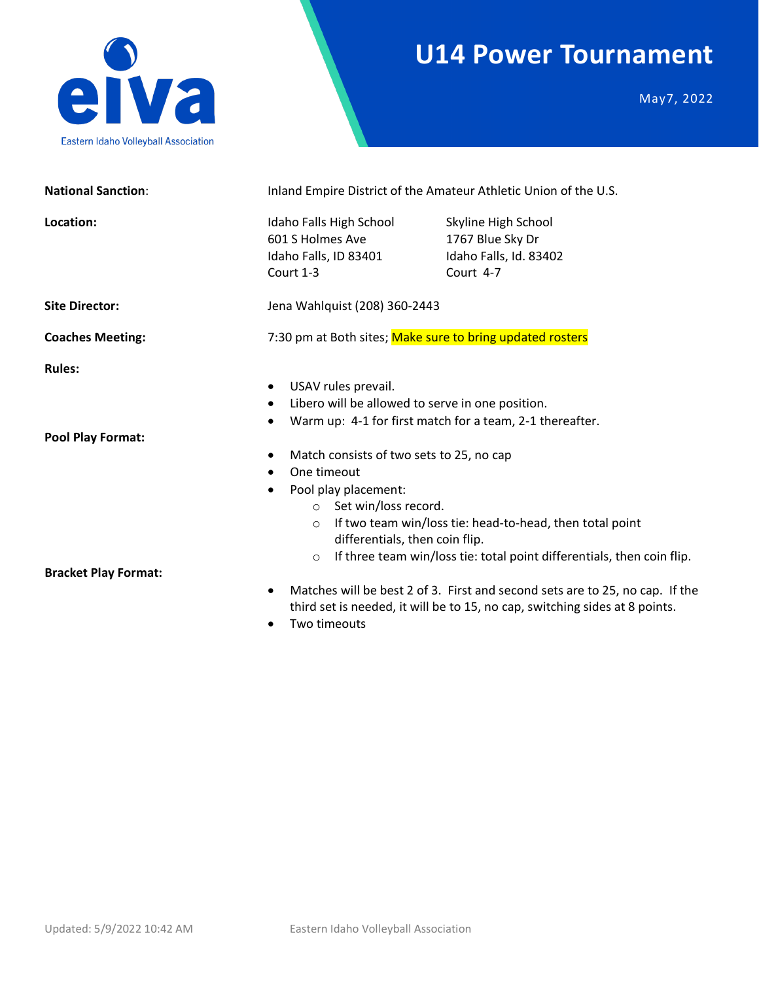## **U14 Power Tournament**



May7, 2022

| <b>National Sanction:</b>                 | Inland Empire District of the Amateur Athletic Union of the U.S.                                                                                                                                                                                                                                                                                                                                 |                                                                                |  |  |
|-------------------------------------------|--------------------------------------------------------------------------------------------------------------------------------------------------------------------------------------------------------------------------------------------------------------------------------------------------------------------------------------------------------------------------------------------------|--------------------------------------------------------------------------------|--|--|
| Location:                                 | Idaho Falls High School<br>601 S Holmes Ave<br>Idaho Falls, ID 83401<br>Court 1-3                                                                                                                                                                                                                                                                                                                | Skyline High School<br>1767 Blue Sky Dr<br>Idaho Falls, Id. 83402<br>Court 4-7 |  |  |
| <b>Site Director:</b>                     | Jena Wahlquist (208) 360-2443                                                                                                                                                                                                                                                                                                                                                                    |                                                                                |  |  |
| <b>Coaches Meeting:</b>                   | 7:30 pm at Both sites; Make sure to bring updated rosters                                                                                                                                                                                                                                                                                                                                        |                                                                                |  |  |
| <b>Rules:</b><br><b>Pool Play Format:</b> | USAV rules prevail.<br>Libero will be allowed to serve in one position.<br>Warm up: 4-1 for first match for a team, 2-1 thereafter.<br>$\bullet$<br>Match consists of two sets to 25, no cap<br>$\bullet$<br>One timeout<br>$\bullet$<br>Pool play placement:<br>○ Set win/loss record.<br>If two team win/loss tie: head-to-head, then total point<br>$\circ$<br>differentials, then coin flip. |                                                                                |  |  |
| <b>Bracket Play Format:</b>               | If three team win/loss tie: total point differentials, then coin flip.<br>$\circ$<br>Matches will be best 2 of 3. First and second sets are to 25, no cap. If the<br>third set is needed, it will be to 15, no cap, switching sides at 8 points.<br>Two timeouts                                                                                                                                 |                                                                                |  |  |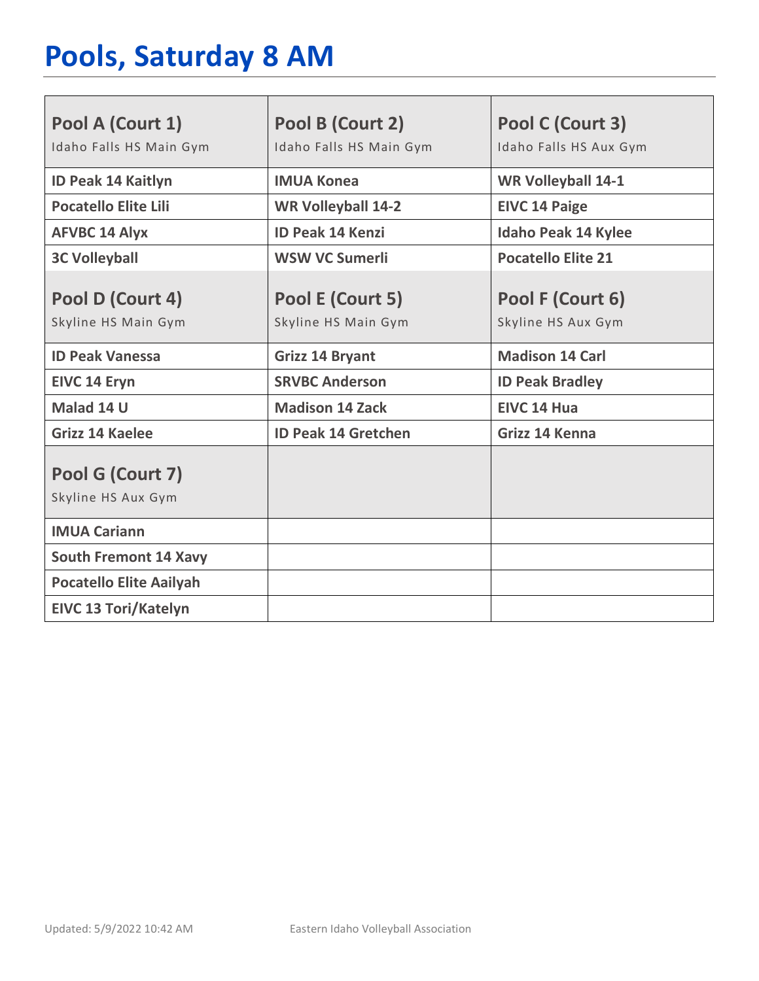# **Pools, Saturday 8 AM**

| Pool A (Court 1)                        | Pool B (Court 2)                        | Pool C (Court 3)                       |
|-----------------------------------------|-----------------------------------------|----------------------------------------|
| Idaho Falls HS Main Gym                 | Idaho Falls HS Main Gym                 | Idaho Falls HS Aux Gym                 |
| <b>ID Peak 14 Kaitlyn</b>               | <b>IMUA Konea</b>                       | <b>WR Volleyball 14-1</b>              |
| <b>Pocatello Elite Lili</b>             | <b>WR Volleyball 14-2</b>               | <b>EIVC 14 Paige</b>                   |
| <b>AFVBC 14 Alyx</b>                    | <b>ID Peak 14 Kenzi</b>                 | <b>Idaho Peak 14 Kylee</b>             |
| <b>3C Volleyball</b>                    | <b>WSW VC Sumerli</b>                   | <b>Pocatello Elite 21</b>              |
| Pool D (Court 4)<br>Skyline HS Main Gym | Pool E (Court 5)<br>Skyline HS Main Gym | Pool F (Court 6)<br>Skyline HS Aux Gym |
| <b>ID Peak Vanessa</b>                  | <b>Grizz 14 Bryant</b>                  | <b>Madison 14 Carl</b>                 |
| <b>EIVC 14 Eryn</b>                     | <b>SRVBC Anderson</b>                   | <b>ID Peak Bradley</b>                 |
| Malad 14 U                              | <b>Madison 14 Zack</b>                  | EIVC 14 Hua                            |
| <b>Grizz 14 Kaelee</b>                  | <b>ID Peak 14 Gretchen</b>              | Grizz 14 Kenna                         |
| Pool G (Court 7)<br>Skyline HS Aux Gym  |                                         |                                        |
| <b>IMUA Cariann</b>                     |                                         |                                        |
| <b>South Fremont 14 Xavy</b>            |                                         |                                        |
| <b>Pocatello Elite Aailyah</b>          |                                         |                                        |
| <b>EIVC 13 Tori/Katelyn</b>             |                                         |                                        |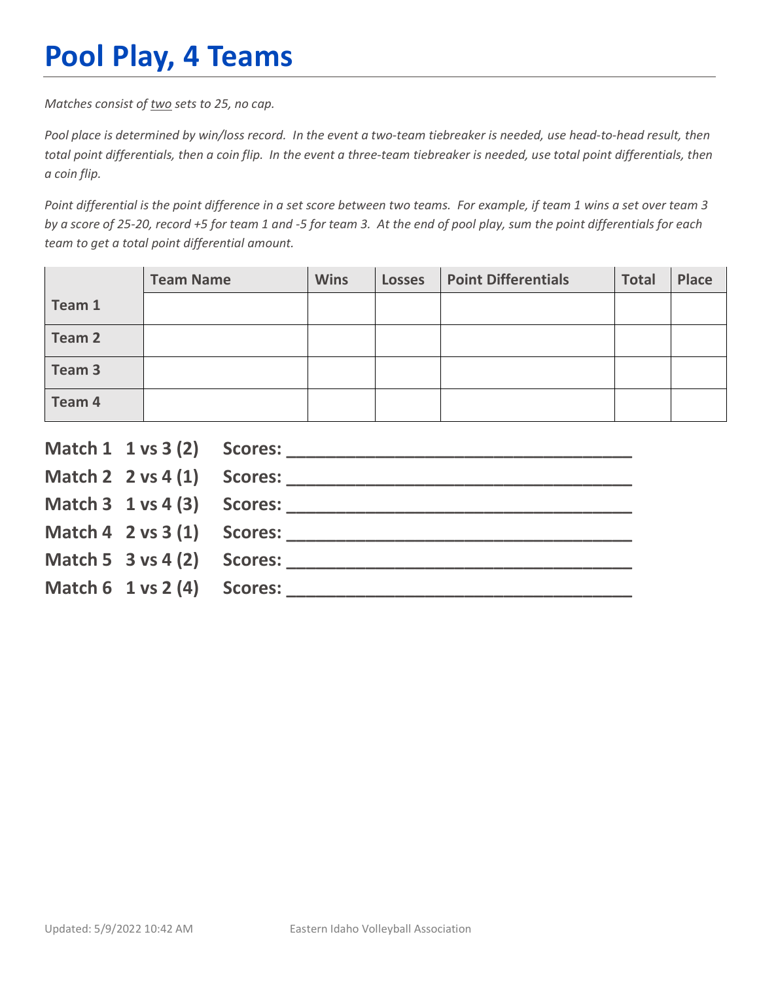## **Pool Play, 4 Teams**

*Matches consist of two sets to 25, no cap.*

*Pool place is determined by win/loss record. In the event a two-team tiebreaker is needed, use head-to-head result, then total point differentials, then a coin flip. In the event a three-team tiebreaker is needed, use total point differentials, then a coin flip.*

*Point differential is the point difference in a set score between two teams. For example, if team 1 wins a set over team 3 by a score of 25-20, record +5 for team 1 and -5 for team 3. At the end of pool play, sum the point differentials for each team to get a total point differential amount.* 

|        | <b>Team Name</b> | <b>Wins</b> | <b>Losses</b> | <b>Point Differentials</b> | <b>Total</b> | <b>Place</b> |
|--------|------------------|-------------|---------------|----------------------------|--------------|--------------|
| Team 1 |                  |             |               |                            |              |              |
| Team 2 |                  |             |               |                            |              |              |
| Team 3 |                  |             |               |                            |              |              |
| Team 4 |                  |             |               |                            |              |              |

|                                        | Match $2 \times 4(1)$ Scores:              |
|----------------------------------------|--------------------------------------------|
|                                        |                                            |
|                                        | Match $4 \quad 2 \text{ vs } 3(1)$ Scores: |
| Match 5 $3$ vs 4 (2) Scores:           |                                            |
| Match $6 \t1 \text{ vs } 2(4)$ Scores: |                                            |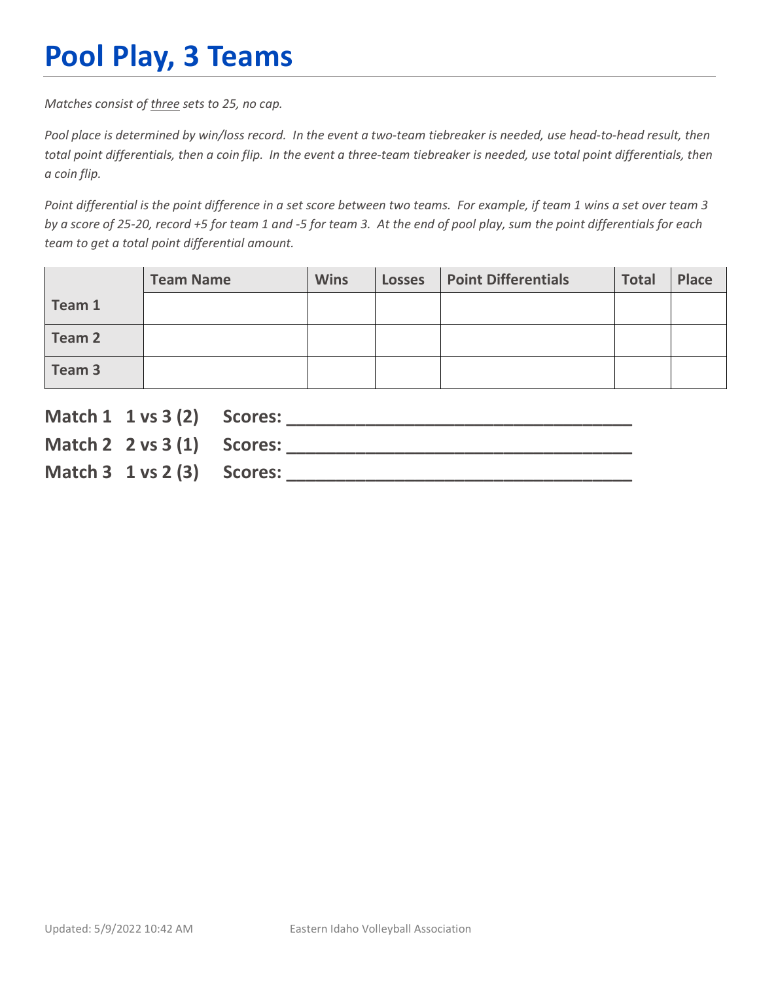## **Pool Play, 3 Teams**

*Matches consist of three sets to 25, no cap.*

*Pool place is determined by win/loss record. In the event a two-team tiebreaker is needed, use head-to-head result, then total point differentials, then a coin flip. In the event a three-team tiebreaker is needed, use total point differentials, then a coin flip.*

*Point differential is the point difference in a set score between two teams. For example, if team 1 wins a set over team 3 by a score of 25-20, record +5 for team 1 and -5 for team 3. At the end of pool play, sum the point differentials for each team to get a total point differential amount.* 

|        | <b>Team Name</b> | <b>Wins</b> | <b>Losses</b> | <b>Point Differentials</b> | <b>Total</b> | Place |
|--------|------------------|-------------|---------------|----------------------------|--------------|-------|
| Team 1 |                  |             |               |                            |              |       |
| Team 2 |                  |             |               |                            |              |       |
| Team 3 |                  |             |               |                            |              |       |

| Match 1 1 vs 3 (2) Scores:               |                               |
|------------------------------------------|-------------------------------|
|                                          | Match $2 \times 3(1)$ Scores: |
| Match $3 \t1 \text{ vs } 2 \t3)$ Scores: |                               |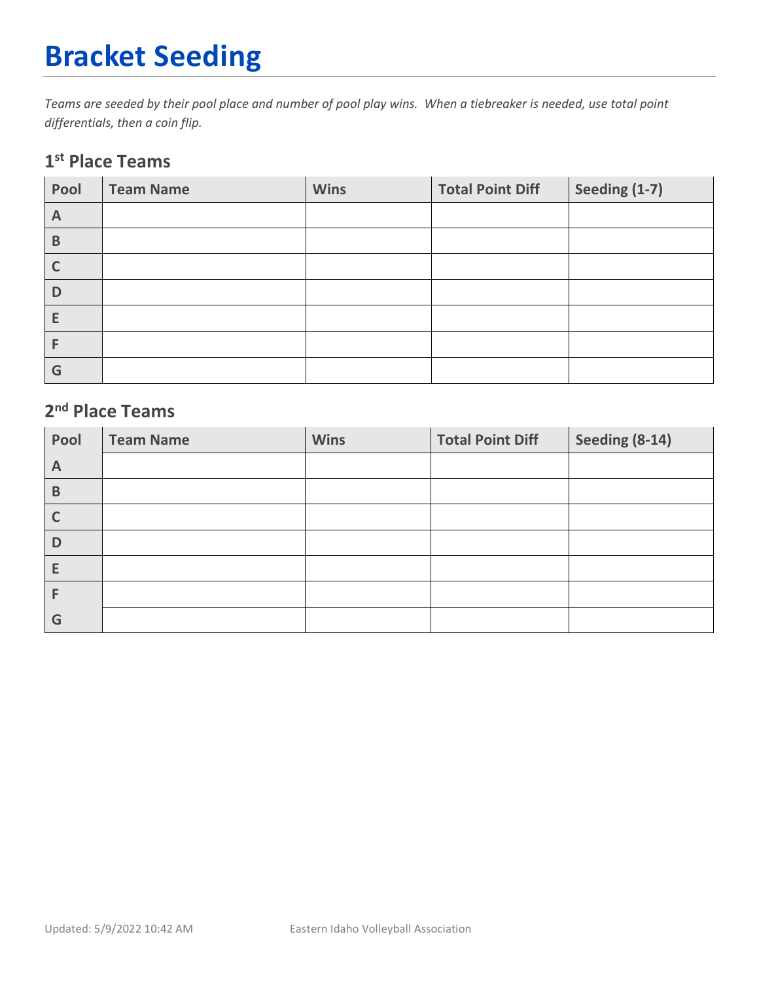# **Bracket Seeding**

*Teams are seeded by their pool place and number of pool play wins. When a tiebreaker is needed, use total point differentials, then a coin flip.*

#### **1st Place Teams**

| Pool         | <b>Team Name</b> | <b>Wins</b> | <b>Total Point Diff</b> | Seeding (1-7) |
|--------------|------------------|-------------|-------------------------|---------------|
| $\mathsf{A}$ |                  |             |                         |               |
| $\mathsf B$  |                  |             |                         |               |
| $\mathsf{C}$ |                  |             |                         |               |
| D            |                  |             |                         |               |
| E            |                  |             |                         |               |
|              |                  |             |                         |               |
| G            |                  |             |                         |               |

#### **2nd Place Teams**

| Pool         | <b>Team Name</b> | <b>Wins</b> | <b>Total Point Diff</b> | Seeding (8-14) |
|--------------|------------------|-------------|-------------------------|----------------|
| $\mathsf{A}$ |                  |             |                         |                |
| B            |                  |             |                         |                |
|              |                  |             |                         |                |
| D            |                  |             |                         |                |
| E            |                  |             |                         |                |
| F            |                  |             |                         |                |
| G            |                  |             |                         |                |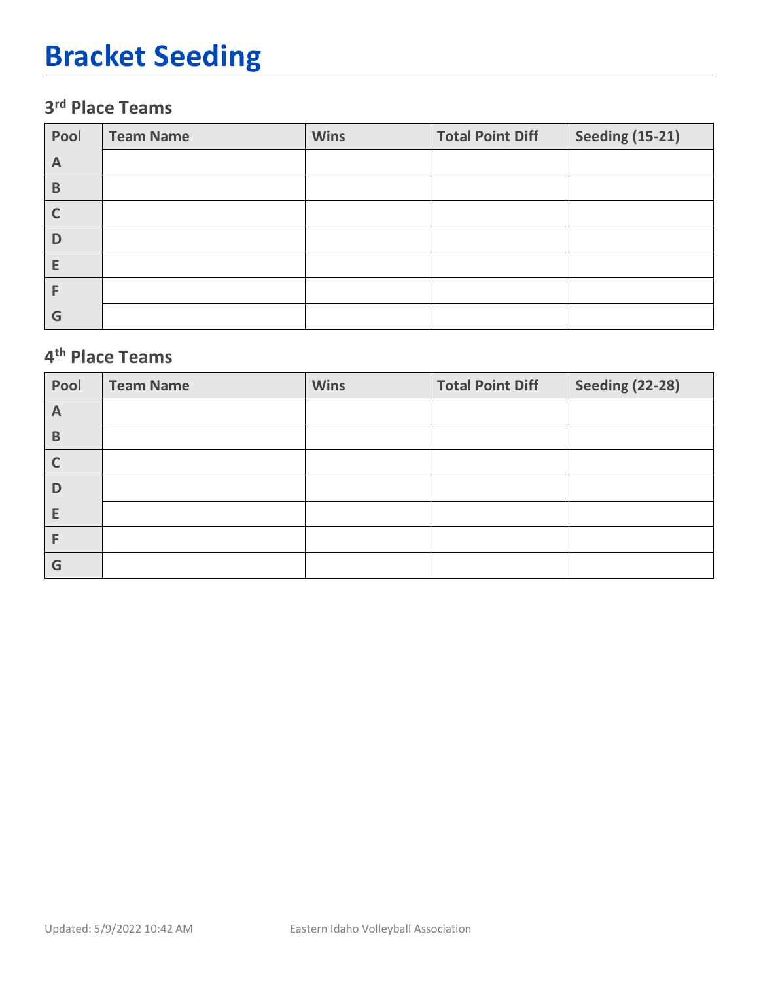## **Bracket Seeding**

### **3rd Place Teams**

| Pool | <b>Team Name</b> | <b>Wins</b> | <b>Total Point Diff</b> | <b>Seeding (15-21)</b> |
|------|------------------|-------------|-------------------------|------------------------|
| A    |                  |             |                         |                        |
| B    |                  |             |                         |                        |
|      |                  |             |                         |                        |
| D    |                  |             |                         |                        |
| Е    |                  |             |                         |                        |
|      |                  |             |                         |                        |
| G    |                  |             |                         |                        |

#### **4th Place Teams**

| Pool         | <b>Team Name</b> | <b>Wins</b> | <b>Total Point Diff</b> | <b>Seeding (22-28)</b> |
|--------------|------------------|-------------|-------------------------|------------------------|
| $\mathsf{A}$ |                  |             |                         |                        |
| B            |                  |             |                         |                        |
| C            |                  |             |                         |                        |
| D            |                  |             |                         |                        |
| E            |                  |             |                         |                        |
| F            |                  |             |                         |                        |
| G            |                  |             |                         |                        |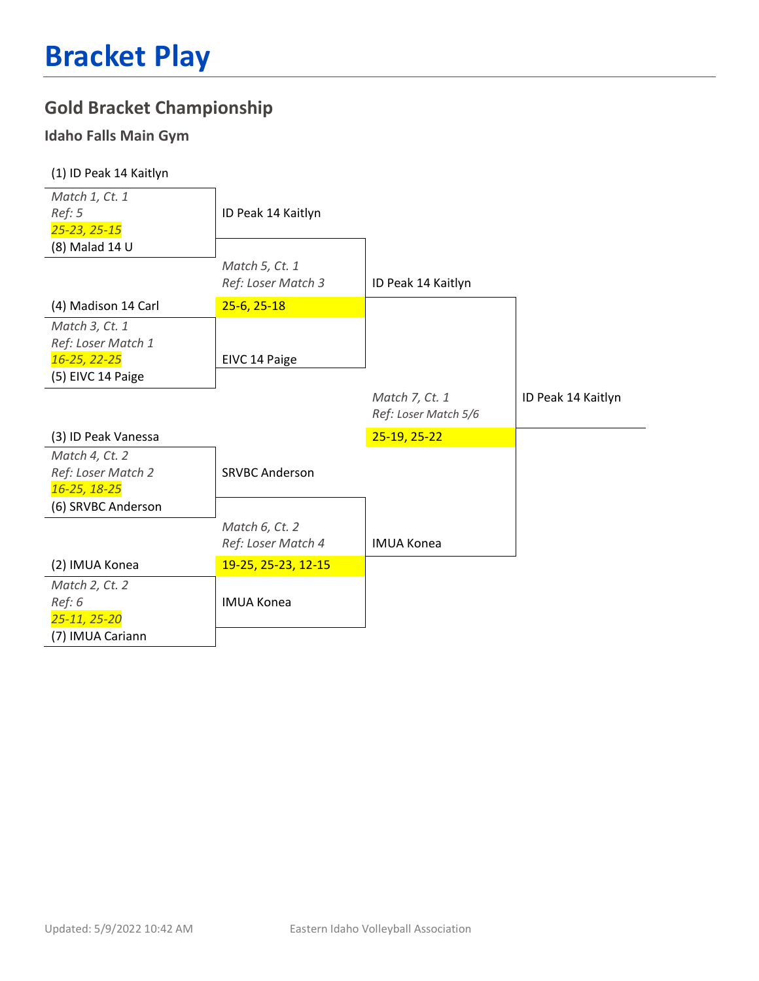### **Gold Bracket Championship**

#### **Idaho Falls Main Gym**

| (1) ID Peak 14 Kaitlyn                                       |                                      |                                        |                    |
|--------------------------------------------------------------|--------------------------------------|----------------------------------------|--------------------|
| Match 1, Ct. 1<br>Ref: 5<br>25-23, 25-15                     | ID Peak 14 Kaitlyn                   |                                        |                    |
| (8) Malad 14 U                                               |                                      |                                        |                    |
|                                                              | Match 5, Ct. 1<br>Ref: Loser Match 3 | ID Peak 14 Kaitlyn                     |                    |
| (4) Madison 14 Carl                                          | $25-6, 25-18$                        |                                        |                    |
| Match 3, Ct. 1<br>Ref: Loser Match 1                         |                                      |                                        |                    |
| 16-25, 22-25<br>(5) EIVC 14 Paige                            | EIVC 14 Paige                        |                                        |                    |
|                                                              |                                      |                                        |                    |
|                                                              |                                      | Match 7, Ct. 1<br>Ref: Loser Match 5/6 | ID Peak 14 Kaitlyn |
| (3) ID Peak Vanessa                                          |                                      | 25-19, 25-22                           |                    |
| Match 4, Ct. 2<br>Ref: Loser Match 2<br>16-25, 18-25         | <b>SRVBC Anderson</b>                |                                        |                    |
| (6) SRVBC Anderson                                           |                                      |                                        |                    |
|                                                              | Match 6, Ct. 2<br>Ref: Loser Match 4 | <b>IMUA Konea</b>                      |                    |
| (2) IMUA Konea                                               | 19-25, 25-23, 12-15                  |                                        |                    |
| Match 2, Ct. 2<br>Ref: 6<br>25-11, 25-20<br>(7) IMUA Cariann | <b>IMUA Konea</b>                    |                                        |                    |
|                                                              |                                      |                                        |                    |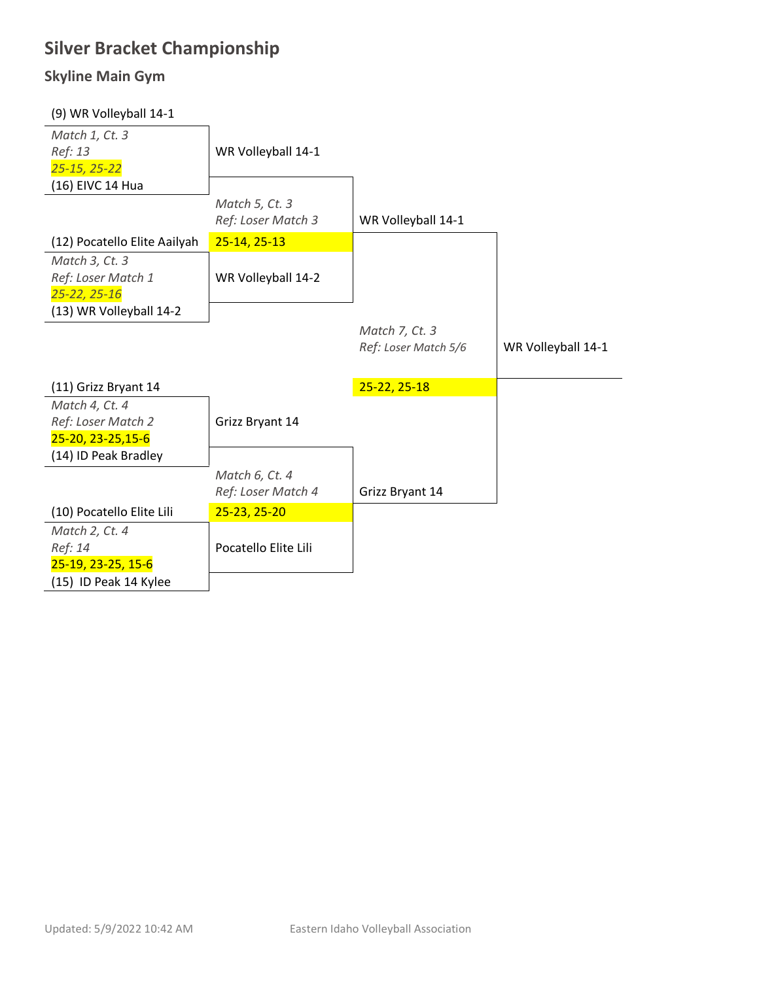### **Silver Bracket Championship**

#### **Skyline Main Gym**

| (9) WR Volleyball 14-1       |                      |                      |                    |
|------------------------------|----------------------|----------------------|--------------------|
| Match 1, Ct. 3               |                      |                      |                    |
| Ref: 13                      | WR Volleyball 14-1   |                      |                    |
| 25-15, 25-22                 |                      |                      |                    |
| (16) EIVC 14 Hua             |                      |                      |                    |
|                              | Match 5, Ct. 3       |                      |                    |
|                              | Ref: Loser Match 3   | WR Volleyball 14-1   |                    |
| (12) Pocatello Elite Aailyah | 25-14, 25-13         |                      |                    |
| Match 3, Ct. 3               |                      |                      |                    |
| Ref: Loser Match 1           | WR Volleyball 14-2   |                      |                    |
| $25 - 22, 25 - 16$           |                      |                      |                    |
| (13) WR Volleyball 14-2      |                      |                      |                    |
|                              |                      | Match 7, Ct. 3       |                    |
|                              |                      | Ref: Loser Match 5/6 | WR Volleyball 14-1 |
|                              |                      |                      |                    |
| (11) Grizz Bryant 14         |                      | 25-22, 25-18         |                    |
| Match 4, Ct. 4               |                      |                      |                    |
| Ref: Loser Match 2           | Grizz Bryant 14      |                      |                    |
| 25-20, 23-25, 15-6           |                      |                      |                    |
| (14) ID Peak Bradley         |                      |                      |                    |
|                              | Match 6, Ct. 4       |                      |                    |
|                              | Ref: Loser Match 4   | Grizz Bryant 14      |                    |
| (10) Pocatello Elite Lili    | 25-23, 25-20         |                      |                    |
| Match 2, Ct. 4               |                      |                      |                    |
| Ref: 14                      | Pocatello Elite Lili |                      |                    |
| 25-19, 23-25, 15-6           |                      |                      |                    |
| (15) ID Peak 14 Kylee        |                      |                      |                    |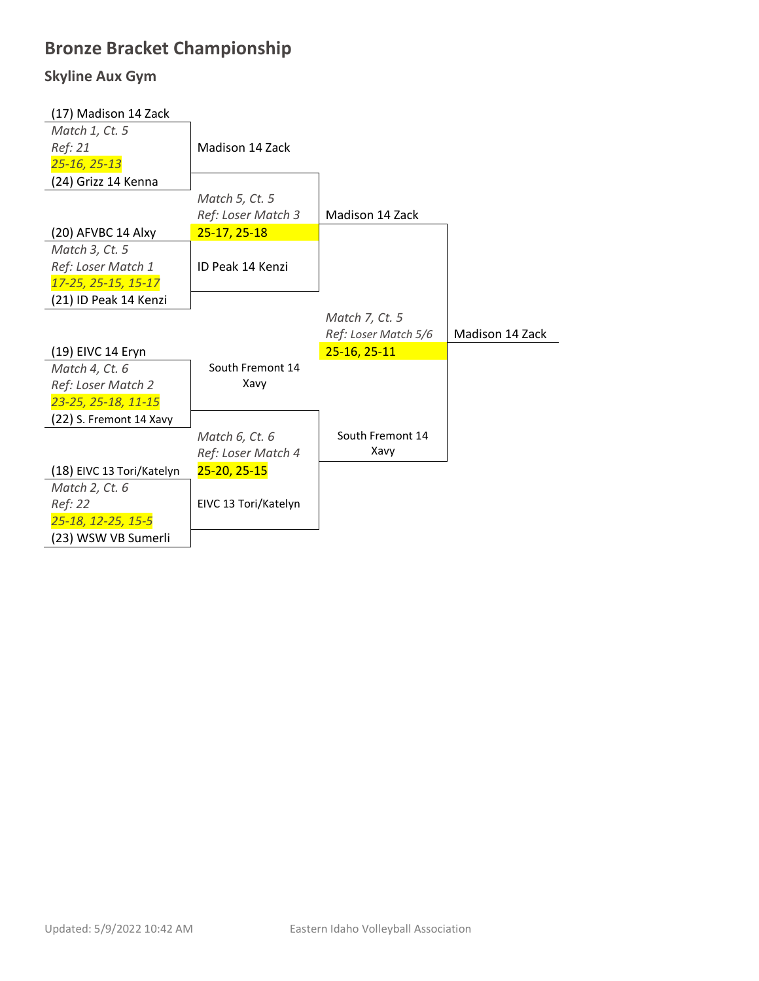### **Bronze Bracket Championship**

#### **Skyline Aux Gym**

| (17) Madison 14 Zack      |                      |                      |                        |
|---------------------------|----------------------|----------------------|------------------------|
| Match 1, Ct. 5            |                      |                      |                        |
| Ref: 21                   | Madison 14 Zack      |                      |                        |
| 25-16, 25-13              |                      |                      |                        |
| (24) Grizz 14 Kenna       |                      |                      |                        |
|                           | Match 5, Ct. 5       |                      |                        |
|                           | Ref: Loser Match 3   | Madison 14 Zack      |                        |
| (20) AFVBC 14 Alxy        | 25-17, 25-18         |                      |                        |
| Match 3, Ct. 5            |                      |                      |                        |
| Ref: Loser Match 1        | ID Peak 14 Kenzi     |                      |                        |
| 17-25, 25-15, 15-17       |                      |                      |                        |
| (21) ID Peak 14 Kenzi     |                      |                      |                        |
|                           |                      | Match 7, Ct. 5       |                        |
|                           |                      |                      |                        |
|                           |                      | Ref: Loser Match 5/6 | <b>Madison 14 Zack</b> |
| (19) EIVC 14 Eryn         |                      | $25-16, 25-11$       |                        |
| Match 4, Ct. 6            | South Fremont 14     |                      |                        |
| Ref: Loser Match 2        | Xavy                 |                      |                        |
| 23-25, 25-18, 11-15       |                      |                      |                        |
| (22) S. Fremont 14 Xavy   |                      |                      |                        |
|                           | Match 6, Ct. 6       | South Fremont 14     |                        |
|                           | Ref: Loser Match 4   | Xavy                 |                        |
| (18) EIVC 13 Tori/Katelyn | $25 - 20, 25 - 15$   |                      |                        |
| Match 2, Ct. 6            |                      |                      |                        |
| Ref: 22                   | EIVC 13 Tori/Katelyn |                      |                        |
| 25-18, 12-25, 15-5        |                      |                      |                        |